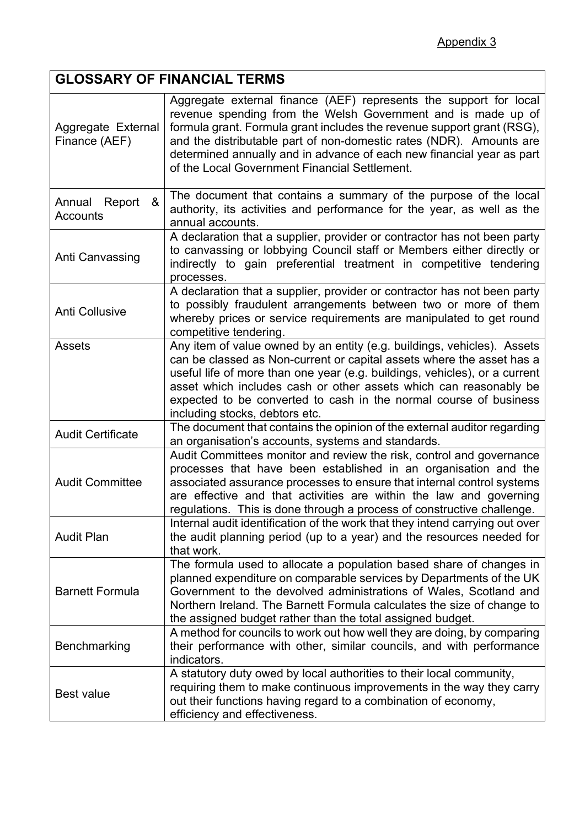## **GLOSSARY OF FINANCIAL TERMS**

| Aggregate External<br>Finance (AEF) | Aggregate external finance (AEF) represents the support for local<br>revenue spending from the Welsh Government and is made up of<br>formula grant. Formula grant includes the revenue support grant (RSG),<br>and the distributable part of non-domestic rates (NDR). Amounts are<br>determined annually and in advance of each new financial year as part<br>of the Local Government Financial Settlement. |
|-------------------------------------|--------------------------------------------------------------------------------------------------------------------------------------------------------------------------------------------------------------------------------------------------------------------------------------------------------------------------------------------------------------------------------------------------------------|
| &<br>Annual Report<br>Accounts      | The document that contains a summary of the purpose of the local<br>authority, its activities and performance for the year, as well as the<br>annual accounts.                                                                                                                                                                                                                                               |
| Anti Canvassing                     | A declaration that a supplier, provider or contractor has not been party<br>to canvassing or lobbying Council staff or Members either directly or<br>indirectly to gain preferential treatment in competitive tendering<br>processes.                                                                                                                                                                        |
| <b>Anti Collusive</b>               | A declaration that a supplier, provider or contractor has not been party<br>to possibly fraudulent arrangements between two or more of them<br>whereby prices or service requirements are manipulated to get round<br>competitive tendering.                                                                                                                                                                 |
| <b>Assets</b>                       | Any item of value owned by an entity (e.g. buildings, vehicles). Assets<br>can be classed as Non-current or capital assets where the asset has a<br>useful life of more than one year (e.g. buildings, vehicles), or a current<br>asset which includes cash or other assets which can reasonably be<br>expected to be converted to cash in the normal course of business<br>including stocks, debtors etc.   |
| <b>Audit Certificate</b>            | The document that contains the opinion of the external auditor regarding<br>an organisation's accounts, systems and standards.                                                                                                                                                                                                                                                                               |
| <b>Audit Committee</b>              | Audit Committees monitor and review the risk, control and governance<br>processes that have been established in an organisation and the<br>associated assurance processes to ensure that internal control systems<br>are effective and that activities are within the law and governing<br>regulations. This is done through a process of constructive challenge.                                            |
| <b>Audit Plan</b>                   | Internal audit identification of the work that they intend carrying out over<br>the audit planning period (up to a year) and the resources needed for<br>that work.                                                                                                                                                                                                                                          |
| <b>Barnett Formula</b>              | The formula used to allocate a population based share of changes in<br>planned expenditure on comparable services by Departments of the UK<br>Government to the devolved administrations of Wales, Scotland and<br>Northern Ireland. The Barnett Formula calculates the size of change to<br>the assigned budget rather than the total assigned budget.                                                      |
| Benchmarking                        | A method for councils to work out how well they are doing, by comparing<br>their performance with other, similar councils, and with performance<br>indicators.                                                                                                                                                                                                                                               |
| <b>Best value</b>                   | A statutory duty owed by local authorities to their local community,<br>requiring them to make continuous improvements in the way they carry<br>out their functions having regard to a combination of economy,<br>efficiency and effectiveness.                                                                                                                                                              |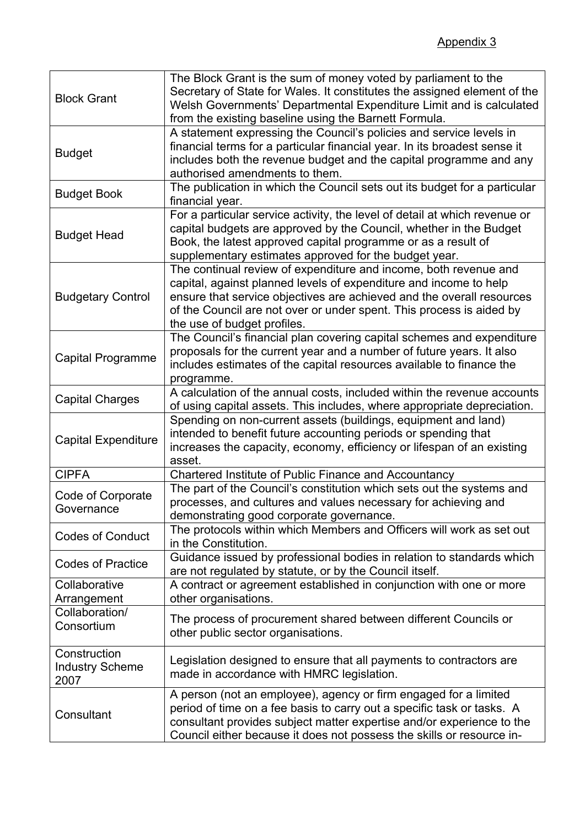| <b>Block Grant</b>                             | The Block Grant is the sum of money voted by parliament to the<br>Secretary of State for Wales. It constitutes the assigned element of the<br>Welsh Governments' Departmental Expenditure Limit and is calculated<br>from the existing baseline using the Barnett Formula.                                            |
|------------------------------------------------|-----------------------------------------------------------------------------------------------------------------------------------------------------------------------------------------------------------------------------------------------------------------------------------------------------------------------|
| <b>Budget</b>                                  | A statement expressing the Council's policies and service levels in<br>financial terms for a particular financial year. In its broadest sense it<br>includes both the revenue budget and the capital programme and any<br>authorised amendments to them.                                                              |
| <b>Budget Book</b>                             | The publication in which the Council sets out its budget for a particular<br>financial year.                                                                                                                                                                                                                          |
| <b>Budget Head</b>                             | For a particular service activity, the level of detail at which revenue or<br>capital budgets are approved by the Council, whether in the Budget<br>Book, the latest approved capital programme or as a result of<br>supplementary estimates approved for the budget year.                                            |
| <b>Budgetary Control</b>                       | The continual review of expenditure and income, both revenue and<br>capital, against planned levels of expenditure and income to help<br>ensure that service objectives are achieved and the overall resources<br>of the Council are not over or under spent. This process is aided by<br>the use of budget profiles. |
| <b>Capital Programme</b>                       | The Council's financial plan covering capital schemes and expenditure<br>proposals for the current year and a number of future years. It also<br>includes estimates of the capital resources available to finance the<br>programme.                                                                                   |
| <b>Capital Charges</b>                         | A calculation of the annual costs, included within the revenue accounts<br>of using capital assets. This includes, where appropriate depreciation.                                                                                                                                                                    |
| <b>Capital Expenditure</b>                     | Spending on non-current assets (buildings, equipment and land)<br>intended to benefit future accounting periods or spending that<br>increases the capacity, economy, efficiency or lifespan of an existing<br>asset.                                                                                                  |
| <b>CIPFA</b>                                   | Chartered Institute of Public Finance and Accountancy                                                                                                                                                                                                                                                                 |
| Code of Corporate<br>Governance                | The part of the Council's constitution which sets out the systems and<br>processes, and cultures and values necessary for achieving and<br>demonstrating good corporate governance.                                                                                                                                   |
| <b>Codes of Conduct</b>                        | The protocols within which Members and Officers will work as set out<br>in the Constitution.                                                                                                                                                                                                                          |
| <b>Codes of Practice</b>                       | Guidance issued by professional bodies in relation to standards which<br>are not regulated by statute, or by the Council itself.                                                                                                                                                                                      |
| Collaborative<br>Arrangement                   | A contract or agreement established in conjunction with one or more<br>other organisations.                                                                                                                                                                                                                           |
| Collaboration/<br>Consortium                   | The process of procurement shared between different Councils or<br>other public sector organisations.                                                                                                                                                                                                                 |
| Construction<br><b>Industry Scheme</b><br>2007 | Legislation designed to ensure that all payments to contractors are<br>made in accordance with HMRC legislation.                                                                                                                                                                                                      |
| Consultant                                     | A person (not an employee), agency or firm engaged for a limited<br>period of time on a fee basis to carry out a specific task or tasks. A<br>consultant provides subject matter expertise and/or experience to the<br>Council either because it does not possess the skills or resource in-                          |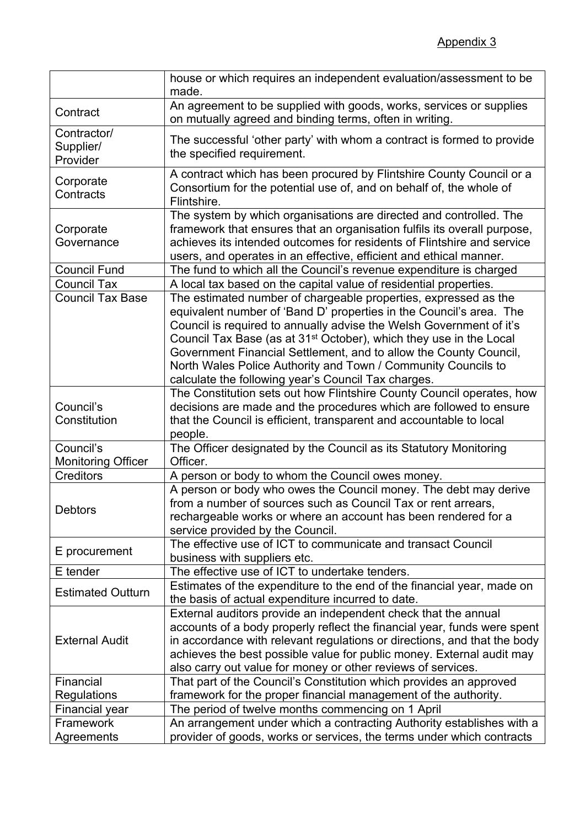|                                        | house or which requires an independent evaluation/assessment to be<br>made.                                                                                                                                                                                                                                                                                                                                                                                                                  |
|----------------------------------------|----------------------------------------------------------------------------------------------------------------------------------------------------------------------------------------------------------------------------------------------------------------------------------------------------------------------------------------------------------------------------------------------------------------------------------------------------------------------------------------------|
| Contract                               | An agreement to be supplied with goods, works, services or supplies<br>on mutually agreed and binding terms, often in writing.                                                                                                                                                                                                                                                                                                                                                               |
| Contractor/<br>Supplier/<br>Provider   | The successful 'other party' with whom a contract is formed to provide<br>the specified requirement.                                                                                                                                                                                                                                                                                                                                                                                         |
| Corporate<br>Contracts                 | A contract which has been procured by Flintshire County Council or a<br>Consortium for the potential use of, and on behalf of, the whole of<br>Flintshire.                                                                                                                                                                                                                                                                                                                                   |
| Corporate<br>Governance                | The system by which organisations are directed and controlled. The<br>framework that ensures that an organisation fulfils its overall purpose,<br>achieves its intended outcomes for residents of Flintshire and service<br>users, and operates in an effective, efficient and ethical manner.                                                                                                                                                                                               |
| <b>Council Fund</b>                    | The fund to which all the Council's revenue expenditure is charged                                                                                                                                                                                                                                                                                                                                                                                                                           |
| <b>Council Tax</b>                     | A local tax based on the capital value of residential properties.                                                                                                                                                                                                                                                                                                                                                                                                                            |
| <b>Council Tax Base</b>                | The estimated number of chargeable properties, expressed as the<br>equivalent number of 'Band D' properties in the Council's area. The<br>Council is required to annually advise the Welsh Government of it's<br>Council Tax Base (as at 31 <sup>st</sup> October), which they use in the Local<br>Government Financial Settlement, and to allow the County Council,<br>North Wales Police Authority and Town / Community Councils to<br>calculate the following year's Council Tax charges. |
| Council's<br>Constitution              | The Constitution sets out how Flintshire County Council operates, how<br>decisions are made and the procedures which are followed to ensure<br>that the Council is efficient, transparent and accountable to local<br>people.                                                                                                                                                                                                                                                                |
| Council's<br><b>Monitoring Officer</b> | The Officer designated by the Council as its Statutory Monitoring<br>Officer.                                                                                                                                                                                                                                                                                                                                                                                                                |
| <b>Creditors</b>                       | A person or body to whom the Council owes money.                                                                                                                                                                                                                                                                                                                                                                                                                                             |
| <b>Debtors</b>                         | A person or body who owes the Council money. The debt may derive<br>from a number of sources such as Council Tax or rent arrears,<br>rechargeable works or where an account has been rendered for a<br>service provided by the Council.                                                                                                                                                                                                                                                      |
| E procurement                          | The effective use of ICT to communicate and transact Council<br>business with suppliers etc.                                                                                                                                                                                                                                                                                                                                                                                                 |
| E tender                               | The effective use of ICT to undertake tenders.                                                                                                                                                                                                                                                                                                                                                                                                                                               |
| <b>Estimated Outturn</b>               | Estimates of the expenditure to the end of the financial year, made on<br>the basis of actual expenditure incurred to date.                                                                                                                                                                                                                                                                                                                                                                  |
| <b>External Audit</b>                  | External auditors provide an independent check that the annual<br>accounts of a body properly reflect the financial year, funds were spent<br>in accordance with relevant regulations or directions, and that the body<br>achieves the best possible value for public money. External audit may<br>also carry out value for money or other reviews of services.                                                                                                                              |
| Financial                              | That part of the Council's Constitution which provides an approved                                                                                                                                                                                                                                                                                                                                                                                                                           |
| Regulations                            | framework for the proper financial management of the authority.                                                                                                                                                                                                                                                                                                                                                                                                                              |
| <b>Financial year</b>                  | The period of twelve months commencing on 1 April                                                                                                                                                                                                                                                                                                                                                                                                                                            |
| Framework                              | An arrangement under which a contracting Authority establishes with a                                                                                                                                                                                                                                                                                                                                                                                                                        |
| Agreements                             | provider of goods, works or services, the terms under which contracts                                                                                                                                                                                                                                                                                                                                                                                                                        |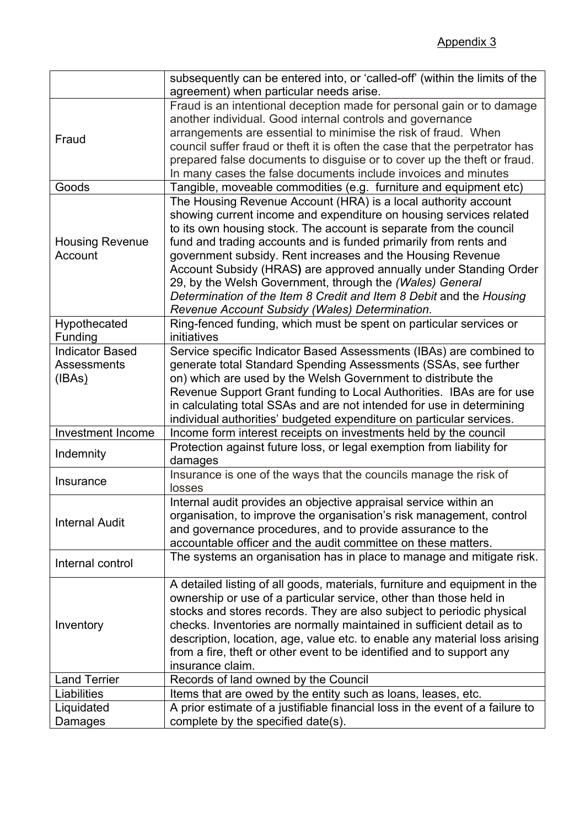|                          | subsequently can be entered into, or 'called-off' (within the limits of the                                         |
|--------------------------|---------------------------------------------------------------------------------------------------------------------|
|                          | agreement) when particular needs arise.                                                                             |
|                          | Fraud is an intentional deception made for personal gain or to damage                                               |
| Fraud                    | another individual. Good internal controls and governance                                                           |
|                          | arrangements are essential to minimise the risk of fraud. When                                                      |
|                          | council suffer fraud or theft it is often the case that the perpetrator has                                         |
|                          | prepared false documents to disguise or to cover up the theft or fraud.                                             |
|                          | In many cases the false documents include invoices and minutes                                                      |
| Goods                    | Tangible, moveable commodities (e.g. furniture and equipment etc)                                                   |
|                          | The Housing Revenue Account (HRA) is a local authority account                                                      |
|                          | showing current income and expenditure on housing services related                                                  |
|                          | to its own housing stock. The account is separate from the council                                                  |
| <b>Housing Revenue</b>   | fund and trading accounts and is funded primarily from rents and                                                    |
| Account                  | government subsidy. Rent increases and the Housing Revenue                                                          |
|                          | Account Subsidy (HRAS) are approved annually under Standing Order                                                   |
|                          | 29, by the Welsh Government, through the (Wales) General                                                            |
|                          | Determination of the Item 8 Credit and Item 8 Debit and the Housing                                                 |
|                          | Revenue Account Subsidy (Wales) Determination.                                                                      |
| Hypothecated             | Ring-fenced funding, which must be spent on particular services or                                                  |
| Funding                  | initiatives                                                                                                         |
| <b>Indicator Based</b>   | Service specific Indicator Based Assessments (IBAs) are combined to                                                 |
| <b>Assessments</b>       |                                                                                                                     |
|                          | generate total Standard Spending Assessments (SSAs, see further                                                     |
| (IBAs)                   | on) which are used by the Welsh Government to distribute the                                                        |
|                          | Revenue Support Grant funding to Local Authorities. IBAs are for use                                                |
|                          | in calculating total SSAs and are not intended for use in determining                                               |
|                          | individual authorities' budgeted expenditure on particular services.                                                |
| <b>Investment Income</b> | Income form interest receipts on investments held by the council                                                    |
| Indemnity                | Protection against future loss, or legal exemption from liability for                                               |
|                          | damages                                                                                                             |
|                          |                                                                                                                     |
|                          | Insurance is one of the ways that the councils manage the risk of                                                   |
| Insurance                | losses                                                                                                              |
|                          | Internal audit provides an objective appraisal service within an                                                    |
|                          | organisation, to improve the organisation's risk management, control                                                |
| <b>Internal Audit</b>    | and governance procedures, and to provide assurance to the                                                          |
|                          | accountable officer and the audit committee on these matters.                                                       |
|                          | The systems an organisation has in place to manage and mitigate risk.                                               |
| Internal control         |                                                                                                                     |
|                          | A detailed listing of all goods, materials, furniture and equipment in the                                          |
|                          | ownership or use of a particular service, other than those held in                                                  |
|                          | stocks and stores records. They are also subject to periodic physical                                               |
| Inventory                | checks. Inventories are normally maintained in sufficient detail as to                                              |
|                          | description, location, age, value etc. to enable any material loss arising                                          |
|                          |                                                                                                                     |
|                          | from a fire, theft or other event to be identified and to support any<br>insurance claim.                           |
| <b>Land Terrier</b>      | Records of land owned by the Council                                                                                |
| Liabilities              |                                                                                                                     |
|                          | Items that are owed by the entity such as loans, leases, etc.                                                       |
| Liquidated<br>Damages    | A prior estimate of a justifiable financial loss in the event of a failure to<br>complete by the specified date(s). |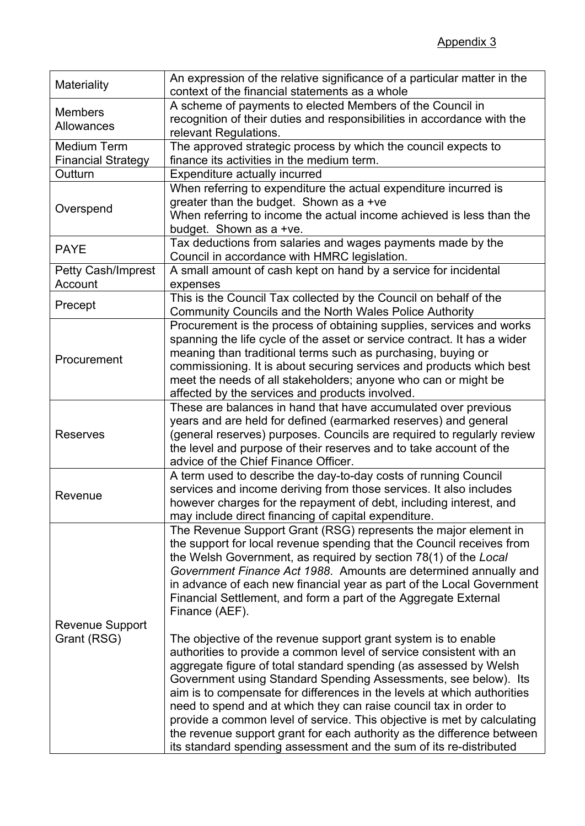| Materiality                                                | An expression of the relative significance of a particular matter in the<br>context of the financial statements as a whole                                                                                                                                                                                                                                                                                                                                                                                                                                                                                                                                                                                                                                                                                                                                                                                                                                                                                                                                                                                |
|------------------------------------------------------------|-----------------------------------------------------------------------------------------------------------------------------------------------------------------------------------------------------------------------------------------------------------------------------------------------------------------------------------------------------------------------------------------------------------------------------------------------------------------------------------------------------------------------------------------------------------------------------------------------------------------------------------------------------------------------------------------------------------------------------------------------------------------------------------------------------------------------------------------------------------------------------------------------------------------------------------------------------------------------------------------------------------------------------------------------------------------------------------------------------------|
| <b>Members</b><br>Allowances                               | A scheme of payments to elected Members of the Council in<br>recognition of their duties and responsibilities in accordance with the<br>relevant Regulations.                                                                                                                                                                                                                                                                                                                                                                                                                                                                                                                                                                                                                                                                                                                                                                                                                                                                                                                                             |
| <b>Medium Term</b><br><b>Financial Strategy</b><br>Outturn | The approved strategic process by which the council expects to<br>finance its activities in the medium term.<br>Expenditure actually incurred                                                                                                                                                                                                                                                                                                                                                                                                                                                                                                                                                                                                                                                                                                                                                                                                                                                                                                                                                             |
| Overspend                                                  | When referring to expenditure the actual expenditure incurred is<br>greater than the budget. Shown as a +ve<br>When referring to income the actual income achieved is less than the<br>budget. Shown as a +ve.                                                                                                                                                                                                                                                                                                                                                                                                                                                                                                                                                                                                                                                                                                                                                                                                                                                                                            |
| <b>PAYE</b>                                                | Tax deductions from salaries and wages payments made by the<br>Council in accordance with HMRC legislation.                                                                                                                                                                                                                                                                                                                                                                                                                                                                                                                                                                                                                                                                                                                                                                                                                                                                                                                                                                                               |
| Petty Cash/Imprest<br>Account                              | A small amount of cash kept on hand by a service for incidental<br>expenses                                                                                                                                                                                                                                                                                                                                                                                                                                                                                                                                                                                                                                                                                                                                                                                                                                                                                                                                                                                                                               |
| Precept                                                    | This is the Council Tax collected by the Council on behalf of the<br>Community Councils and the North Wales Police Authority                                                                                                                                                                                                                                                                                                                                                                                                                                                                                                                                                                                                                                                                                                                                                                                                                                                                                                                                                                              |
| Procurement                                                | Procurement is the process of obtaining supplies, services and works<br>spanning the life cycle of the asset or service contract. It has a wider<br>meaning than traditional terms such as purchasing, buying or<br>commissioning. It is about securing services and products which best<br>meet the needs of all stakeholders; anyone who can or might be<br>affected by the services and products involved.                                                                                                                                                                                                                                                                                                                                                                                                                                                                                                                                                                                                                                                                                             |
| <b>Reserves</b>                                            | These are balances in hand that have accumulated over previous<br>years and are held for defined (earmarked reserves) and general<br>(general reserves) purposes. Councils are required to regularly review<br>the level and purpose of their reserves and to take account of the<br>advice of the Chief Finance Officer.                                                                                                                                                                                                                                                                                                                                                                                                                                                                                                                                                                                                                                                                                                                                                                                 |
| Revenue                                                    | A term used to describe the day-to-day costs of running Council<br>services and income deriving from those services. It also includes<br>however charges for the repayment of debt, including interest, and<br>may include direct financing of capital expenditure.                                                                                                                                                                                                                                                                                                                                                                                                                                                                                                                                                                                                                                                                                                                                                                                                                                       |
| <b>Revenue Support</b><br>Grant (RSG)                      | The Revenue Support Grant (RSG) represents the major element in<br>the support for local revenue spending that the Council receives from<br>the Welsh Government, as required by section 78(1) of the Local<br>Government Finance Act 1988. Amounts are determined annually and<br>in advance of each new financial year as part of the Local Government<br>Financial Settlement, and form a part of the Aggregate External<br>Finance (AEF).<br>The objective of the revenue support grant system is to enable<br>authorities to provide a common level of service consistent with an<br>aggregate figure of total standard spending (as assessed by Welsh<br>Government using Standard Spending Assessments, see below). Its<br>aim is to compensate for differences in the levels at which authorities<br>need to spend and at which they can raise council tax in order to<br>provide a common level of service. This objective is met by calculating<br>the revenue support grant for each authority as the difference between<br>its standard spending assessment and the sum of its re-distributed |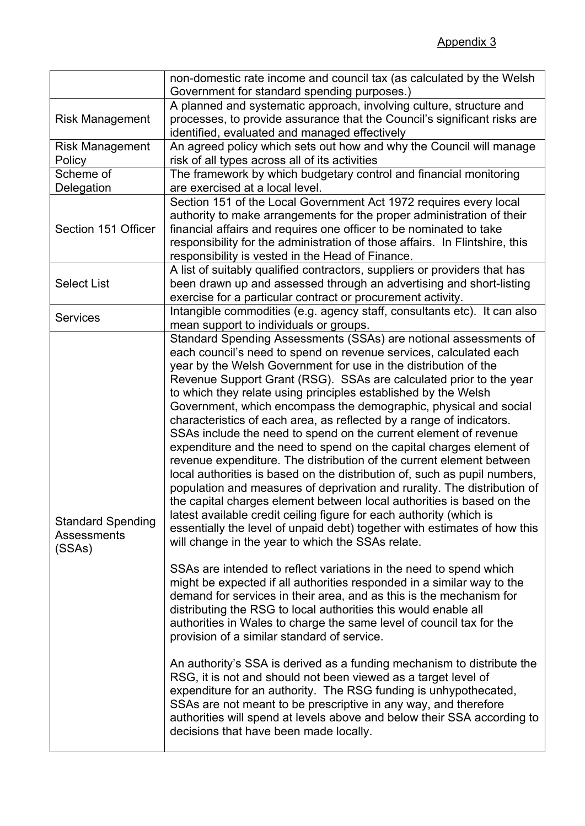|                                                          | non-domestic rate income and council tax (as calculated by the Welsh                                                                                                                                                                                                                                                                                                                                                                                                                                                                                                                                                                                                                                                                                                                                                                                                                                                                                                                                                                                                                                                                                       |
|----------------------------------------------------------|------------------------------------------------------------------------------------------------------------------------------------------------------------------------------------------------------------------------------------------------------------------------------------------------------------------------------------------------------------------------------------------------------------------------------------------------------------------------------------------------------------------------------------------------------------------------------------------------------------------------------------------------------------------------------------------------------------------------------------------------------------------------------------------------------------------------------------------------------------------------------------------------------------------------------------------------------------------------------------------------------------------------------------------------------------------------------------------------------------------------------------------------------------|
|                                                          | Government for standard spending purposes.)                                                                                                                                                                                                                                                                                                                                                                                                                                                                                                                                                                                                                                                                                                                                                                                                                                                                                                                                                                                                                                                                                                                |
|                                                          | A planned and systematic approach, involving culture, structure and                                                                                                                                                                                                                                                                                                                                                                                                                                                                                                                                                                                                                                                                                                                                                                                                                                                                                                                                                                                                                                                                                        |
| <b>Risk Management</b>                                   | processes, to provide assurance that the Council's significant risks are                                                                                                                                                                                                                                                                                                                                                                                                                                                                                                                                                                                                                                                                                                                                                                                                                                                                                                                                                                                                                                                                                   |
|                                                          | identified, evaluated and managed effectively                                                                                                                                                                                                                                                                                                                                                                                                                                                                                                                                                                                                                                                                                                                                                                                                                                                                                                                                                                                                                                                                                                              |
| <b>Risk Management</b>                                   | An agreed policy which sets out how and why the Council will manage                                                                                                                                                                                                                                                                                                                                                                                                                                                                                                                                                                                                                                                                                                                                                                                                                                                                                                                                                                                                                                                                                        |
| Policy                                                   | risk of all types across all of its activities                                                                                                                                                                                                                                                                                                                                                                                                                                                                                                                                                                                                                                                                                                                                                                                                                                                                                                                                                                                                                                                                                                             |
| Scheme of                                                | The framework by which budgetary control and financial monitoring                                                                                                                                                                                                                                                                                                                                                                                                                                                                                                                                                                                                                                                                                                                                                                                                                                                                                                                                                                                                                                                                                          |
| Delegation                                               | are exercised at a local level.                                                                                                                                                                                                                                                                                                                                                                                                                                                                                                                                                                                                                                                                                                                                                                                                                                                                                                                                                                                                                                                                                                                            |
| Section 151 Officer                                      | Section 151 of the Local Government Act 1972 requires every local<br>authority to make arrangements for the proper administration of their<br>financial affairs and requires one officer to be nominated to take<br>responsibility for the administration of those affairs. In Flintshire, this<br>responsibility is vested in the Head of Finance.                                                                                                                                                                                                                                                                                                                                                                                                                                                                                                                                                                                                                                                                                                                                                                                                        |
|                                                          | A list of suitably qualified contractors, suppliers or providers that has                                                                                                                                                                                                                                                                                                                                                                                                                                                                                                                                                                                                                                                                                                                                                                                                                                                                                                                                                                                                                                                                                  |
| <b>Select List</b>                                       | been drawn up and assessed through an advertising and short-listing                                                                                                                                                                                                                                                                                                                                                                                                                                                                                                                                                                                                                                                                                                                                                                                                                                                                                                                                                                                                                                                                                        |
|                                                          | exercise for a particular contract or procurement activity.                                                                                                                                                                                                                                                                                                                                                                                                                                                                                                                                                                                                                                                                                                                                                                                                                                                                                                                                                                                                                                                                                                |
| <b>Services</b>                                          | Intangible commodities (e.g. agency staff, consultants etc). It can also<br>mean support to individuals or groups.                                                                                                                                                                                                                                                                                                                                                                                                                                                                                                                                                                                                                                                                                                                                                                                                                                                                                                                                                                                                                                         |
| <b>Standard Spending</b><br><b>Assessments</b><br>(SSAs) | Standard Spending Assessments (SSAs) are notional assessments of<br>each council's need to spend on revenue services, calculated each<br>year by the Welsh Government for use in the distribution of the<br>Revenue Support Grant (RSG). SSAs are calculated prior to the year<br>to which they relate using principles established by the Welsh<br>Government, which encompass the demographic, physical and social<br>characteristics of each area, as reflected by a range of indicators.<br>SSAs include the need to spend on the current element of revenue<br>expenditure and the need to spend on the capital charges element of<br>revenue expenditure. The distribution of the current element between<br>local authorities is based on the distribution of, such as pupil numbers,<br>population and measures of deprivation and rurality. The distribution of<br>the capital charges element between local authorities is based on the<br>latest available credit ceiling figure for each authority (which is<br>essentially the level of unpaid debt) together with estimates of how this<br>will change in the year to which the SSAs relate. |
|                                                          | SSAs are intended to reflect variations in the need to spend which<br>might be expected if all authorities responded in a similar way to the<br>demand for services in their area, and as this is the mechanism for<br>distributing the RSG to local authorities this would enable all<br>authorities in Wales to charge the same level of council tax for the<br>provision of a similar standard of service.                                                                                                                                                                                                                                                                                                                                                                                                                                                                                                                                                                                                                                                                                                                                              |
|                                                          | An authority's SSA is derived as a funding mechanism to distribute the<br>RSG, it is not and should not been viewed as a target level of<br>expenditure for an authority. The RSG funding is unhypothecated,<br>SSAs are not meant to be prescriptive in any way, and therefore<br>authorities will spend at levels above and below their SSA according to<br>decisions that have been made locally.                                                                                                                                                                                                                                                                                                                                                                                                                                                                                                                                                                                                                                                                                                                                                       |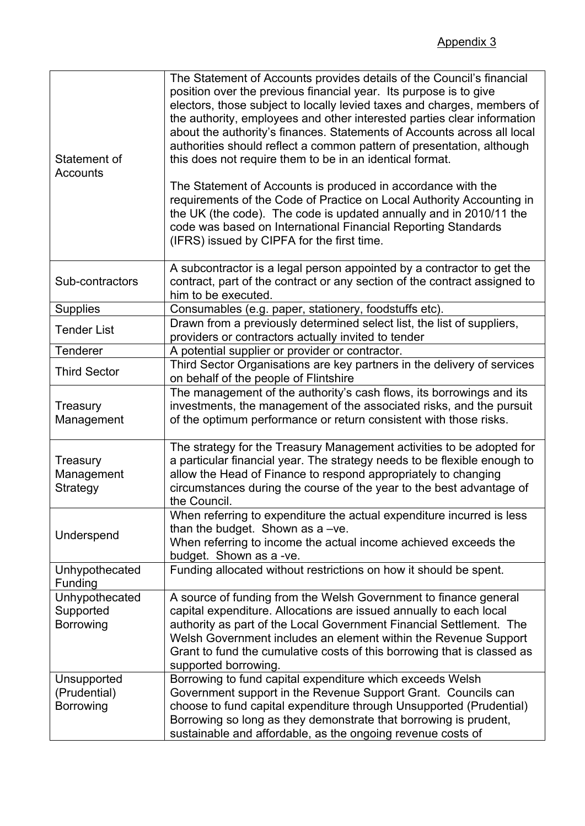| Statement of<br><b>Accounts</b>                 | The Statement of Accounts provides details of the Council's financial<br>position over the previous financial year. Its purpose is to give<br>electors, those subject to locally levied taxes and charges, members of<br>the authority, employees and other interested parties clear information<br>about the authority's finances. Statements of Accounts across all local<br>authorities should reflect a common pattern of presentation, although<br>this does not require them to be in an identical format.<br>The Statement of Accounts is produced in accordance with the<br>requirements of the Code of Practice on Local Authority Accounting in<br>the UK (the code). The code is updated annually and in 2010/11 the<br>code was based on International Financial Reporting Standards<br>(IFRS) issued by CIPFA for the first time. |
|-------------------------------------------------|------------------------------------------------------------------------------------------------------------------------------------------------------------------------------------------------------------------------------------------------------------------------------------------------------------------------------------------------------------------------------------------------------------------------------------------------------------------------------------------------------------------------------------------------------------------------------------------------------------------------------------------------------------------------------------------------------------------------------------------------------------------------------------------------------------------------------------------------|
| Sub-contractors                                 | A subcontractor is a legal person appointed by a contractor to get the<br>contract, part of the contract or any section of the contract assigned to<br>him to be executed.                                                                                                                                                                                                                                                                                                                                                                                                                                                                                                                                                                                                                                                                     |
| <b>Supplies</b>                                 | Consumables (e.g. paper, stationery, foodstuffs etc).                                                                                                                                                                                                                                                                                                                                                                                                                                                                                                                                                                                                                                                                                                                                                                                          |
| <b>Tender List</b>                              | Drawn from a previously determined select list, the list of suppliers,<br>providers or contractors actually invited to tender                                                                                                                                                                                                                                                                                                                                                                                                                                                                                                                                                                                                                                                                                                                  |
| Tenderer                                        | A potential supplier or provider or contractor.                                                                                                                                                                                                                                                                                                                                                                                                                                                                                                                                                                                                                                                                                                                                                                                                |
| <b>Third Sector</b>                             | Third Sector Organisations are key partners in the delivery of services<br>on behalf of the people of Flintshire                                                                                                                                                                                                                                                                                                                                                                                                                                                                                                                                                                                                                                                                                                                               |
| Treasury<br>Management                          | The management of the authority's cash flows, its borrowings and its<br>investments, the management of the associated risks, and the pursuit<br>of the optimum performance or return consistent with those risks.                                                                                                                                                                                                                                                                                                                                                                                                                                                                                                                                                                                                                              |
| Treasury<br>Management<br>Strategy              | The strategy for the Treasury Management activities to be adopted for<br>a particular financial year. The strategy needs to be flexible enough to<br>allow the Head of Finance to respond appropriately to changing<br>circumstances during the course of the year to the best advantage of<br>the Council.                                                                                                                                                                                                                                                                                                                                                                                                                                                                                                                                    |
| Underspend                                      | When referring to expenditure the actual expenditure incurred is less<br>than the budget. Shown as $a -ve$ .<br>When referring to income the actual income achieved exceeds the<br>budget. Shown as a -ve.                                                                                                                                                                                                                                                                                                                                                                                                                                                                                                                                                                                                                                     |
| Unhypothecated<br>Funding                       | Funding allocated without restrictions on how it should be spent.                                                                                                                                                                                                                                                                                                                                                                                                                                                                                                                                                                                                                                                                                                                                                                              |
| Unhypothecated<br>Supported<br>Borrowing        | A source of funding from the Welsh Government to finance general<br>capital expenditure. Allocations are issued annually to each local<br>authority as part of the Local Government Financial Settlement. The<br>Welsh Government includes an element within the Revenue Support<br>Grant to fund the cumulative costs of this borrowing that is classed as<br>supported borrowing.                                                                                                                                                                                                                                                                                                                                                                                                                                                            |
| Unsupported<br>(Prudential)<br><b>Borrowing</b> | Borrowing to fund capital expenditure which exceeds Welsh<br>Government support in the Revenue Support Grant. Councils can<br>choose to fund capital expenditure through Unsupported (Prudential)<br>Borrowing so long as they demonstrate that borrowing is prudent,<br>sustainable and affordable, as the ongoing revenue costs of                                                                                                                                                                                                                                                                                                                                                                                                                                                                                                           |